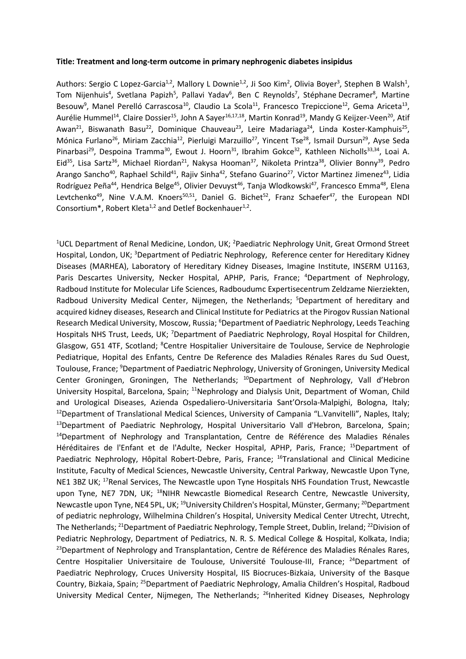### **Title: Treatment and long-term outcome in primary nephrogenic diabetes insipidus**

Authors: Sergio C Lopez-Garcia<sup>1,2</sup>, Mallory L Downie<sup>1,2</sup>, Ji Soo Kim<sup>2</sup>, Olivia Boyer<sup>3</sup>, Stephen B Walsh<sup>1</sup>, Tom Nijenhuis<sup>4</sup>, Svetlana Papizh<sup>5</sup>, Pallavi Yadav<sup>6</sup>, Ben C Reynolds<sup>7</sup>, Stéphane Decramer<sup>8</sup>, Martine Besouw<sup>9</sup>, Manel Perelló Carrascosa<sup>10</sup>, Claudio La Scola<sup>11</sup>, Francesco Trepiccione<sup>12</sup>, Gema Ariceta<sup>13</sup>, Aurélie Hummel<sup>14</sup>, Claire Dossier<sup>15</sup>, John A Sayer<sup>16,17,18</sup>, Martin Konrad<sup>19</sup>, Mandy G Keijzer-Veen<sup>20</sup>, Atif Awan<sup>21</sup>, Biswanath Basu<sup>22</sup>, Dominique Chauveau<sup>23</sup>, Leire Madariaga<sup>24</sup>, Linda Koster-Kamphuis<sup>25</sup>, Mónica Furlano<sup>26</sup>, Miriam Zacchia<sup>12</sup>, Pierluigi Marzuillo<sup>27</sup>, Yincent Tse<sup>28</sup>, Ismail Dursun<sup>29</sup>, Ayse Seda Pinarbasi<sup>29</sup>, Despoina Tramma<sup>30</sup>, Ewout J. Hoorn<sup>31</sup>, Ibrahim Gokce<sup>32</sup>, Kathleen Nicholls<sup>33,34</sup>, Loai A. Eid<sup>35</sup>, Lisa Sartz<sup>36</sup>, Michael Riordan<sup>21</sup>, Nakysa Hooman<sup>37</sup>, Nikoleta Printza<sup>38</sup>, Olivier Bonny<sup>39</sup>, Pedro Arango Sancho<sup>40</sup>, Raphael Schild<sup>41</sup>, Rajiv Sinha<sup>42</sup>, Stefano Guarino<sup>27</sup>, Victor Martinez Jimenez<sup>43</sup>, Lidia Rodríguez Peña<sup>44</sup>, Hendrica Belge<sup>45</sup>, Olivier Devuyst<sup>46</sup>, Tanja Wlodkowski<sup>47</sup>, Francesco Emma<sup>48</sup>, Elena Levtchenko<sup>49</sup>, Nine V.A.M. Knoers<sup>50,51</sup>, Daniel G. Bichet<sup>52</sup>, Franz Schaefer<sup>47</sup>, the European NDI Consortium\*, Robert Kleta<sup>1,2</sup> and Detlef Bockenhauer<sup>1,2</sup>.

<sup>1</sup>UCL Department of Renal Medicine, London, UK; <sup>2</sup>Paediatric Nephrology Unit, Great Ormond Street Hospital, London, UK; <sup>3</sup>Department of Pediatric Nephrology, Reference center for Hereditary Kidney Diseases (MARHEA), Laboratory of Hereditary Kidney Diseases, Imagine Institute, INSERM U1163, Paris Descartes University, Necker Hospital, APHP, Paris, France; <sup>4</sup>Department of Nephrology, Radboud Institute for Molecular Life Sciences, Radboudumc Expertisecentrum Zeldzame Nierziekten, Radboud University Medical Center, Nijmegen, the Netherlands; <sup>5</sup>Department of hereditary and acquired kidney diseases, Research and Clinical Institute for Pediatrics at the Pirogov Russian National Research Medical University, Moscow, Russia; <sup>6</sup>Department of Paediatric Nephrology, Leeds Teaching Hospitals NHS Trust, Leeds, UK; <sup>7</sup>Department of Paediatric Nephrology, Royal Hospital for Children, Glasgow, G51 4TF, Scotland; <sup>8</sup>Centre Hospitalier Universitaire de Toulouse, Service de Nephrologie Pediatrique, Hopital des Enfants, Centre De Reference des Maladies Rénales Rares du Sud Ouest, Toulouse, France; <sup>9</sup>Department of Paediatric Nephrology, University of Groningen, University Medical Center Groningen, Groningen, The Netherlands; <sup>10</sup>Department of Nephrology, Vall d'Hebron University Hospital, Barcelona, Spain; <sup>11</sup>Nephrology and Dialysis Unit, Department of Woman, Child and Urological Diseases, Azienda Ospedaliero-Universitaria Sant'Orsola-Malpighi, Bologna, Italy; <sup>12</sup>Department of Translational Medical Sciences, University of Campania "L.Vanvitelli", Naples, Italy; <sup>13</sup>Department of Paediatric Nephrology, Hospital Universitario Vall d'Hebron, Barcelona, Spain; <sup>14</sup>Department of Nephrology and Transplantation, Centre de Référence des Maladies Rénales Héréditaires de l'Enfant et de l'Adulte, Necker Hospital, APHP, Paris, France; <sup>15</sup>Department of Paediatric Nephrology, Hôpital Robert-Debre, Paris, France; <sup>16</sup>Translational and Clinical Medicine Institute, Faculty of Medical Sciences, Newcastle University, Central Parkway, Newcastle Upon Tyne, NE1 3BZ UK; <sup>17</sup>Renal Services, The Newcastle upon Tyne Hospitals NHS Foundation Trust, Newcastle upon Tyne, NE7 7DN, UK; <sup>18</sup>NIHR Newcastle Biomedical Research Centre, Newcastle University, Newcastle upon Tyne, NE4 5PL, UK; <sup>19</sup>University Children's Hospital, Münster, Germany; <sup>20</sup>Department of pediatric nephrology, Wilhelmina Children's Hospital, University Medical Center Utrecht, Utrecht, The Netherlands; <sup>21</sup>Department of Paediatric Nephrology, Temple Street, Dublin, Ireland; <sup>22</sup>Division of Pediatric Nephrology, Department of Pediatrics, N. R. S. Medical College & Hospital, Kolkata, India; <sup>23</sup>Department of Nephrology and Transplantation, Centre de Référence des Maladies Rénales Rares, Centre Hospitalier Universitaire de Toulouse, Université Toulouse-III, France; <sup>24</sup>Department of Paediatric Nephrology, Cruces University Hospital, IIS Biocruces-Bizkaia, University of the Basque Country, Bizkaia, Spain; <sup>25</sup>Department of Paediatric Nephrology, Amalia Children's Hospital, Radboud University Medical Center, Nijmegen, The Netherlands; <sup>26</sup>Inherited Kidney Diseases, Nephrology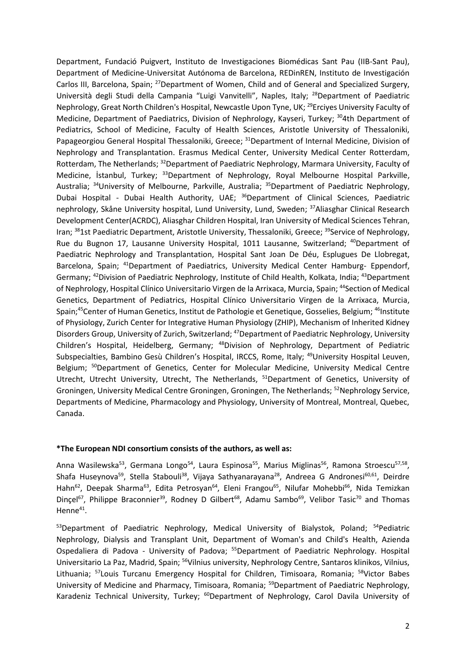Department, Fundació Puigvert, Instituto de Investigaciones Biomédicas Sant Pau (IIB-Sant Pau), Department of Medicine-Universitat Autónoma de Barcelona, REDinREN, Instituto de Investigación Carlos III, Barcelona, Spain; <sup>27</sup>Department of Women, Child and of General and Specialized Surgery, Università degli Studi della Campania "Luigi Vanvitelli", Naples, Italy; <sup>28</sup>Department of Paediatric Nephrology, Great North Children's Hospital, Newcastle Upon Tyne, UK; <sup>29</sup>Erciyes University Faculty of Medicine, Department of Paediatrics, Division of Nephrology, Kayseri, Turkey; <sup>30</sup>4th Department of Pediatrics, School of Medicine, Faculty of Health Sciences, Aristotle University of Thessaloniki, Papageorgiou General Hospital Thessaloniki, Greece; <sup>31</sup>Department of Internal Medicine, Division of Nephrology and Transplantation. Erasmus Medical Center, University Medical Center Rotterdam, Rotterdam, The Netherlands; <sup>32</sup>Department of Paediatric Nephrology, Marmara University, Faculty of Medicine, İstanbul, Turkey; <sup>33</sup>Department of Nephrology, Royal Melbourne Hospital Parkville, Australia; <sup>34</sup>University of Melbourne, Parkville, Australia; <sup>35</sup>Department of Paediatric Nephrology, Dubai Hospital - Dubai Health Authority, UAE; <sup>36</sup>Department of Clinical Sciences, Paediatric nephrology, Skåne University hospital, Lund University, Lund, Sweden; <sup>37</sup>Aliasghar Clinical Research Development Center(ACRDC), Aliasghar Children Hospital, Iran University of Medical Sciences Tehran, Iran; <sup>38</sup>1st Paediatric Department, Aristotle University, Thessaloniki, Greece; <sup>39</sup>Service of Nephrology, Rue du Bugnon 17, Lausanne University Hospital, 1011 Lausanne, Switzerland; <sup>40</sup>Department of Paediatric Nephrology and Transplantation, Hospital Sant Joan De Déu, Esplugues De Llobregat, Barcelona, Spain; <sup>41</sup>Department of Paediatrics, University Medical Center Hamburg- Eppendorf, Germany; <sup>42</sup>Division of Paediatric Nephrology, Institute of Child Health, Kolkata, India; <sup>43</sup>Department of Nephrology, Hospital Clínico Universitario Virgen de la Arrixaca, Murcia, Spain; <sup>44</sup>Section of Medical Genetics, Department of Pediatrics, Hospital Clínico Universitario Virgen de la Arrixaca, Murcia, Spain;<sup>45</sup>Center of Human Genetics, Institut de Pathologie et Genetique, Gosselies, Belgium; <sup>46</sup>Institute of Physiology, Zurich Center for Integrative Human Physiology (ZHIP), Mechanism of Inherited Kidney Disorders Group, University of Zurich, Switzerland; <sup>47</sup>Department of Paediatric Nephrology, University Children's Hospital, Heidelberg, Germany; <sup>48</sup>Division of Nephrology, Department of Pediatric Subspecialties, Bambino Gesù Children's Hospital, IRCCS, Rome, Italy; <sup>49</sup>University Hospital Leuven, Belgium; <sup>50</sup>Department of Genetics, Center for Molecular Medicine, University Medical Centre Utrecht, Utrecht University, Utrecht, The Netherlands, <sup>51</sup>Department of Genetics, University of Groningen, University Medical Centre Groningen, Groningen, The Netherlands; <sup>52</sup>Nephrology Service, Departments of Medicine, Pharmacology and Physiology, University of Montreal, Montreal, Quebec, Canada.

## **\*The European NDI consortium consists of the authors, as well as:**

Anna Wasilewska<sup>53</sup>, Germana Longo<sup>54</sup>, Laura Espinosa<sup>55</sup>, Marius Miglinas<sup>56</sup>, Ramona Stroescu<sup>57,58</sup>, Shafa Huseynova<sup>59</sup>, Stella Stabouli<sup>38</sup>, Vijaya Sathyanarayana<sup>28</sup>, Andreea G Andronesi<sup>60,61</sup>, Deirdre Hahn<sup>62</sup>, Deepak Sharma<sup>63</sup>, Edita Petrosyan<sup>64</sup>, Eleni Frangou<sup>65</sup>, Nilufar Mohebbi<sup>66</sup>, Nida Temizkan Dinçel<sup>67</sup>, Philippe Braconnier<sup>39</sup>, Rodney D Gilbert<sup>68</sup>, Adamu Sambo<sup>69</sup>, Velibor Tasic<sup>70</sup> and Thomas Henne<sup>41</sup>.

53Department of Paediatric Nephrology, Medical University of Bialystok, Poland; <sup>54</sup>Pediatric Nephrology, Dialysis and Transplant Unit, Department of Woman's and Child's Health, Azienda Ospedaliera di Padova - University of Padova; <sup>55</sup>Department of Paediatric Nephrology. Hospital Universitario La Paz, Madrid, Spain; <sup>56</sup>Vilnius university, Nephrology Centre, Santaros klinikos, Vilnius, Lithuania; <sup>57</sup>Louis Turcanu Emergency Hospital for Children, Timisoara, Romania; <sup>58</sup>Victor Babes University of Medicine and Pharmacy, Timisoara, Romania; <sup>59</sup>Department of Paediatric Nephrology, Karadeniz Technical University, Turkey; <sup>60</sup>Department of Nephrology, Carol Davila University of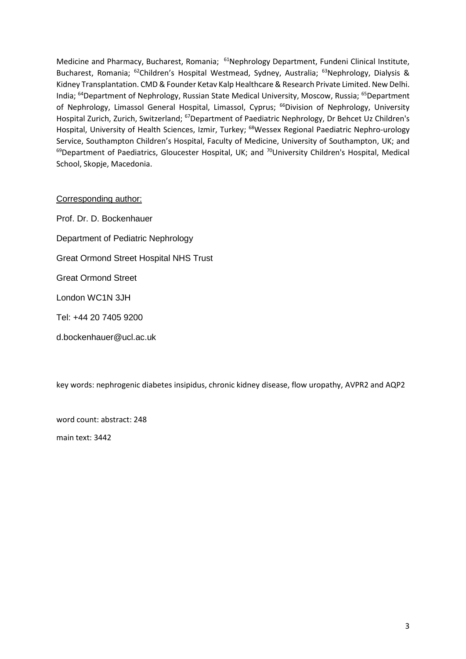Medicine and Pharmacy, Bucharest, Romania; <sup>61</sup>Nephrology Department, Fundeni Clinical Institute, Bucharest, Romania; <sup>62</sup>Children's Hospital Westmead, Sydney, Australia; <sup>63</sup>Nephrology, Dialysis & Kidney Transplantation. CMD & Founder Ketav Kalp Healthcare & Research Private Limited. New Delhi. India; <sup>64</sup>Department of Nephrology, Russian State Medical University, Moscow, Russia; <sup>65</sup>Department of Nephrology, Limassol General Hospital, Limassol, Cyprus; <sup>66</sup>Division of Nephrology, University Hospital Zurich, Zurich, Switzerland; <sup>67</sup>Department of Paediatric Nephrology, Dr Behcet Uz Children's Hospital, University of Health Sciences, Izmir, Turkey; <sup>68</sup>Wessex Regional Paediatric Nephro-urology Service, Southampton Children's Hospital, Faculty of Medicine, University of Southampton, UK; and <sup>69</sup>Department of Paediatrics, Gloucester Hospital, UK; and <sup>70</sup>University Children's Hospital, Medical School, Skopje, Macedonia.

# Corresponding author:

Prof. Dr. D. Bockenhauer Department of Pediatric Nephrology Great Ormond Street Hospital NHS Trust Great Ormond Street London WC1N 3JH Tel: +44 20 7405 9200 d.bockenhauer@ucl.ac.uk

key words: nephrogenic diabetes insipidus, chronic kidney disease, flow uropathy, AVPR2 and AQP2

word count: abstract: 248

main text: 3442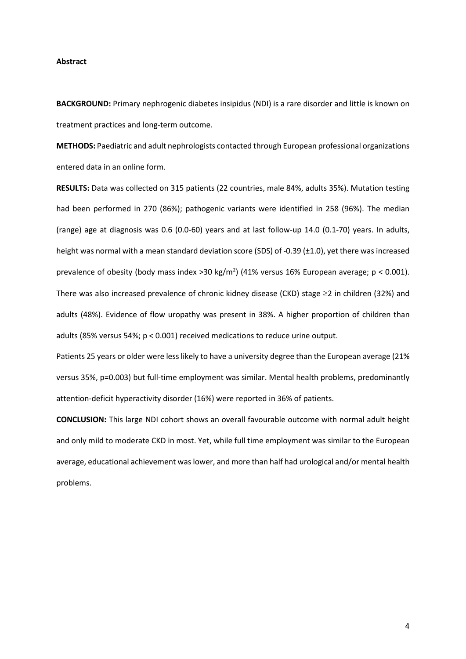#### **Abstract**

**BACKGROUND:** Primary nephrogenic diabetes insipidus (NDI) is a rare disorder and little is known on treatment practices and long-term outcome.

**METHODS:** Paediatric and adult nephrologists contacted through European professional organizations entered data in an online form.

**RESULTS:** Data was collected on 315 patients (22 countries, male 84%, adults 35%). Mutation testing had been performed in 270 (86%); pathogenic variants were identified in 258 (96%). The median (range) age at diagnosis was 0.6 (0.0-60) years and at last follow-up 14.0 (0.1-70) years. In adults, height was normal with a mean standard deviation score (SDS) of -0.39 (±1.0), yet there was increased prevalence of obesity (body mass index > 30 kg/m<sup>2</sup>) (41% versus 16% European average;  $p < 0.001$ ). There was also increased prevalence of chronic kidney disease (CKD) stage  $\geq$  2 in children (32%) and adults (48%). Evidence of flow uropathy was present in 38%. A higher proportion of children than adults (85% versus 54%; p < 0.001) received medications to reduce urine output.

Patients 25 years or older were less likely to have a university degree than the European average (21% versus 35%, p=0.003) but full-time employment was similar. Mental health problems, predominantly attention-deficit hyperactivity disorder (16%) were reported in 36% of patients.

**CONCLUSION:** This large NDI cohort shows an overall favourable outcome with normal adult height and only mild to moderate CKD in most. Yet, while full time employment was similar to the European average, educational achievement was lower, and more than half had urological and/or mental health problems.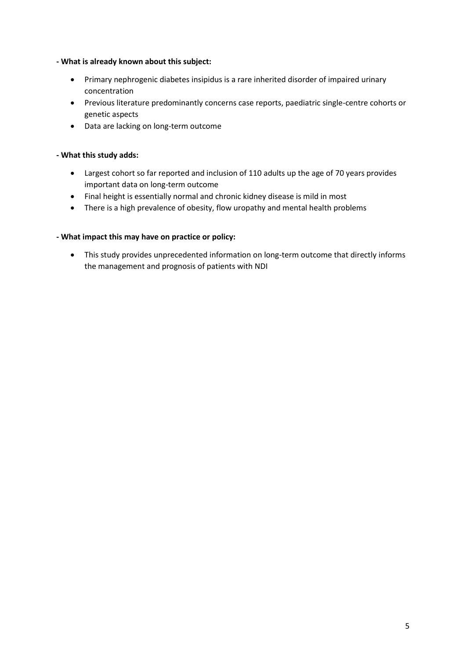## **- What is already known about this subject:**

- Primary nephrogenic diabetes insipidus is a rare inherited disorder of impaired urinary concentration
- Previous literature predominantly concerns case reports, paediatric single-centre cohorts or genetic aspects
- Data are lacking on long-term outcome

# **- What this study adds:**

- Largest cohort so far reported and inclusion of 110 adults up the age of 70 years provides important data on long-term outcome
- Final height is essentially normal and chronic kidney disease is mild in most
- There is a high prevalence of obesity, flow uropathy and mental health problems

# **- What impact this may have on practice or policy:**

 This study provides unprecedented information on long-term outcome that directly informs the management and prognosis of patients with NDI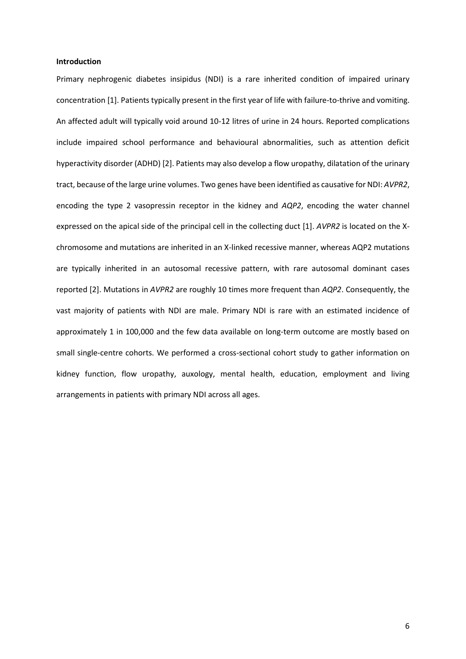#### **Introduction**

Primary nephrogenic diabetes insipidus (NDI) is a rare inherited condition of impaired urinary concentration [1]. Patients typically present in the first year of life with failure-to-thrive and vomiting. An affected adult will typically void around 10-12 litres of urine in 24 hours. Reported complications include impaired school performance and behavioural abnormalities, such as attention deficit hyperactivity disorder (ADHD) [2]. Patients may also develop a flow uropathy, dilatation of the urinary tract, because of the large urine volumes. Two genes have been identified as causative for NDI: *AVPR2*, encoding the type 2 vasopressin receptor in the kidney and *AQP2*, encoding the water channel expressed on the apical side of the principal cell in the collecting duct [1]. *AVPR2* is located on the Xchromosome and mutations are inherited in an X-linked recessive manner, whereas AQP2 mutations are typically inherited in an autosomal recessive pattern, with rare autosomal dominant cases reported [2]. Mutations in *AVPR2* are roughly 10 times more frequent than *AQP2*. Consequently, the vast majority of patients with NDI are male. Primary NDI is rare with an estimated incidence of approximately 1 in 100,000 and the few data available on long-term outcome are mostly based on small single-centre cohorts. We performed a cross-sectional cohort study to gather information on kidney function, flow uropathy, auxology, mental health, education, employment and living arrangements in patients with primary NDI across all ages.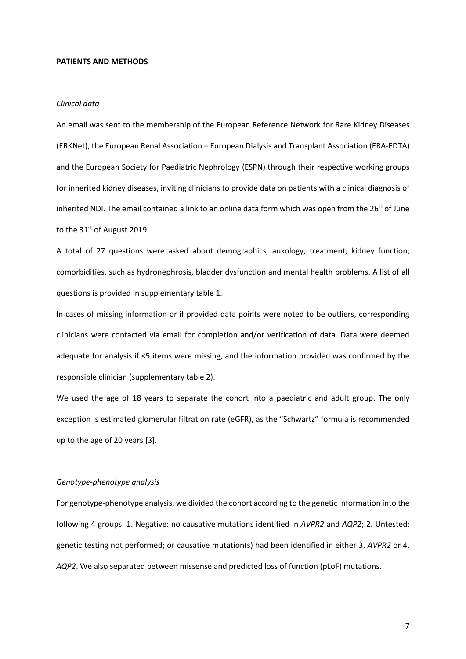#### **PATIENTS AND METHODS**

#### *Clinical data*

An email was sent to the membership of the European Reference Network for Rare Kidney Diseases (ERKNet), the European Renal Association – European Dialysis and Transplant Association (ERA-EDTA) and the European Society for Paediatric Nephrology (ESPN) through their respective working groups for inherited kidney diseases, inviting clinicians to provide data on patients with a clinical diagnosis of inherited NDI. The email contained a link to an online data form which was open from the 26<sup>th</sup> of June to the 31<sup>st</sup> of August 2019.

A total of 27 questions were asked about demographics, auxology, treatment, kidney function, comorbidities, such as hydronephrosis, bladder dysfunction and mental health problems. A list of all questions is provided in supplementary table 1.

In cases of missing information or if provided data points were noted to be outliers, corresponding clinicians were contacted via email for completion and/or verification of data. Data were deemed adequate for analysis if <5 items were missing, and the information provided was confirmed by the responsible clinician (supplementary table 2).

We used the age of 18 years to separate the cohort into a paediatric and adult group. The only exception is estimated glomerular filtration rate (eGFR), as the "Schwartz" formula is recommended up to the age of 20 years [3].

#### *Genotype-phenotype analysis*

For genotype-phenotype analysis, we divided the cohort according to the genetic information into the following 4 groups: 1. Negative: no causative mutations identified in *AVPR2* and *AQP2*; 2. Untested: genetic testing not performed; or causative mutation(s) had been identified in either 3. *AVPR2* or 4. *AQP2*. We also separated between missense and predicted loss of function (pLoF) mutations.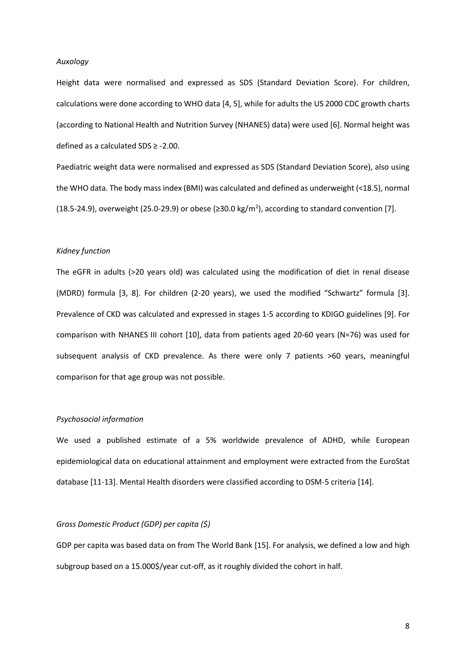#### *Auxology*

Height data were normalised and expressed as SDS (Standard Deviation Score). For children, calculations were done according to WHO data [4, 5], while for adults the US 2000 CDC growth charts (according to National Health and Nutrition Survey (NHANES) data) were used [6]. Normal height was defined as a calculated SDS ≥ -2.00.

Paediatric weight data were normalised and expressed as SDS (Standard Deviation Score), also using the WHO data. The body mass index (BMI) was calculated and defined as underweight (<18.5), normal (18.5-24.9), overweight (25.0-29.9) or obese ( $\geq$ 30.0 kg/m<sup>2</sup>), according to standard convention [7].

### *Kidney function*

The eGFR in adults (>20 years old) was calculated using the modification of diet in renal disease (MDRD) formula [3, 8]. For children (2-20 years), we used the modified "Schwartz" formula [3]. Prevalence of CKD was calculated and expressed in stages 1-5 according to KDIGO guidelines [9]. For comparison with NHANES III cohort [10], data from patients aged 20-60 years (N=76) was used for subsequent analysis of CKD prevalence. As there were only 7 patients >60 years, meaningful comparison for that age group was not possible.

#### *Psychosocial information*

We used a published estimate of a 5% worldwide prevalence of ADHD, while European epidemiological data on educational attainment and employment were extracted from the EuroStat database [11-13]. Mental Health disorders were classified according to DSM-5 criteria [14].

#### *Gross Domestic Product (GDP) per capita (\$)*

GDP per capita was based data on from The World Bank [15]. For analysis, we defined a low and high subgroup based on a 15.000\$/year cut-off, as it roughly divided the cohort in half.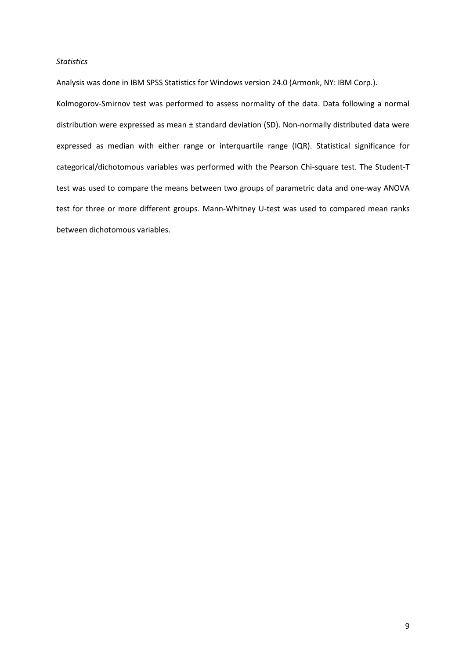### *Statistics*

Analysis was done in IBM SPSS Statistics for Windows version 24.0 (Armonk, NY: IBM Corp.).

Kolmogorov-Smirnov test was performed to assess normality of the data. Data following a normal distribution were expressed as mean ± standard deviation (SD). Non-normally distributed data were expressed as median with either range or interquartile range (IQR). Statistical significance for categorical/dichotomous variables was performed with the Pearson Chi-square test. The Student-T test was used to compare the means between two groups of parametric data and one-way ANOVA test for three or more different groups. Mann-Whitney U-test was used to compared mean ranks between dichotomous variables.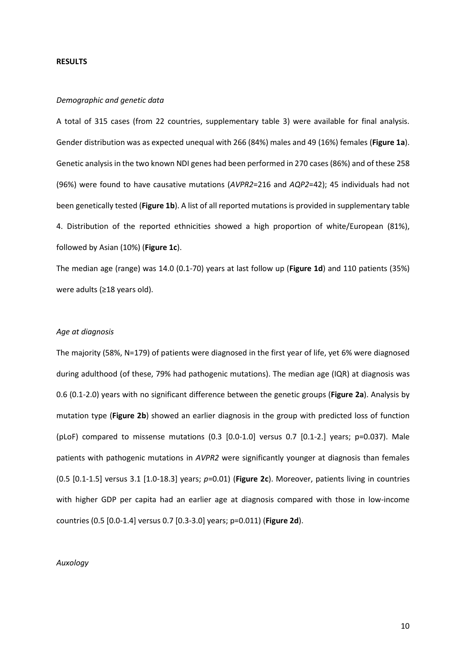#### **RESULTS**

### *Demographic and genetic data*

A total of 315 cases (from 22 countries, supplementary table 3) were available for final analysis. Gender distribution was as expected unequal with 266 (84%) males and 49 (16%) females (**Figure 1a**). Genetic analysis in the two known NDI genes had been performed in 270 cases (86%) and of these 258 (96%) were found to have causative mutations (*AVPR2*=216 and *AQP2*=42); 45 individuals had not been genetically tested (**Figure 1b**). A list of all reported mutations is provided in supplementary table 4. Distribution of the reported ethnicities showed a high proportion of white/European (81%), followed by Asian (10%) (**Figure 1c**).

The median age (range) was 14.0 (0.1-70) years at last follow up (**Figure 1d**) and 110 patients (35%) were adults (≥18 years old).

### *Age at diagnosis*

The majority (58%, N=179) of patients were diagnosed in the first year of life, yet 6% were diagnosed during adulthood (of these, 79% had pathogenic mutations). The median age (IQR) at diagnosis was 0.6 (0.1-2.0) years with no significant difference between the genetic groups (**Figure 2a**). Analysis by mutation type (**Figure 2b**) showed an earlier diagnosis in the group with predicted loss of function (pLoF) compared to missense mutations (0.3 [0.0-1.0] versus 0.7 [0.1-2.] years; p=0.037). Male patients with pathogenic mutations in *AVPR2* were significantly younger at diagnosis than females (0.5 [0.1-1.5] versus 3.1 [1.0-18.3] years; *p*=0.01) (**Figure 2c**). Moreover, patients living in countries with higher GDP per capita had an earlier age at diagnosis compared with those in low-income countries (0.5 [0.0-1.4] versus 0.7 [0.3-3.0] years; p=0.011) (**Figure 2d**).

### *Auxology*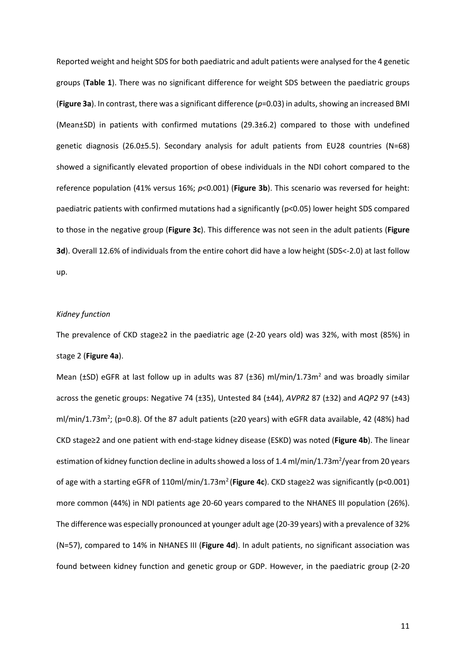Reported weight and height SDS for both paediatric and adult patients were analysed for the 4 genetic groups (**Table 1**). There was no significant difference for weight SDS between the paediatric groups (**Figure 3a**). In contrast, there was a significant difference (*p*=0.03) in adults,showing an increased BMI (Mean±SD) in patients with confirmed mutations (29.3±6.2) compared to those with undefined genetic diagnosis (26.0±5.5). Secondary analysis for adult patients from EU28 countries (N=68) showed a significantly elevated proportion of obese individuals in the NDI cohort compared to the reference population (41% versus 16%; *p*<0.001) (**Figure 3b**). This scenario was reversed for height: paediatric patients with confirmed mutations had a significantly (p<0.05) lower height SDS compared to those in the negative group (**Figure 3c**). This difference was not seen in the adult patients (**Figure 3d**). Overall 12.6% of individuals from the entire cohort did have a low height (SDS<-2.0) at last follow up.

### *Kidney function*

The prevalence of CKD stage≥2 in the paediatric age (2-20 years old) was 32%, with most (85%) in stage 2 (**Figure 4a**).

Mean ( $\pm$ SD) eGFR at last follow up in adults was 87 ( $\pm$ 36) ml/min/1.73m<sup>2</sup> and was broadly similar across the genetic groups: Negative 74 (±35), Untested 84 (±44), *AVPR2* 87 (±32) and *AQP2* 97 (±43) ml/min/1.73m<sup>2</sup>; (p=0.8). Of the 87 adult patients ( $\geq$ 20 years) with eGFR data available, 42 (48%) had CKD stage≥2 and one patient with end-stage kidney disease (ESKD) was noted (**Figure 4b**). The linear estimation of kidney function decline in adults showed a loss of 1.4 ml/min/1.73m<sup>2</sup>/year from 20 years of age with a starting eGFR of 110ml/min/1.73m<sup>2</sup>(**Figure 4c**). CKD stage≥2 was significantly (p<0.001) more common (44%) in NDI patients age 20-60 years compared to the NHANES III population (26%). The difference was especially pronounced at younger adult age (20-39 years) with a prevalence of 32% (N=57), compared to 14% in NHANES III (**Figure 4d**). In adult patients, no significant association was found between kidney function and genetic group or GDP. However, in the paediatric group (2-20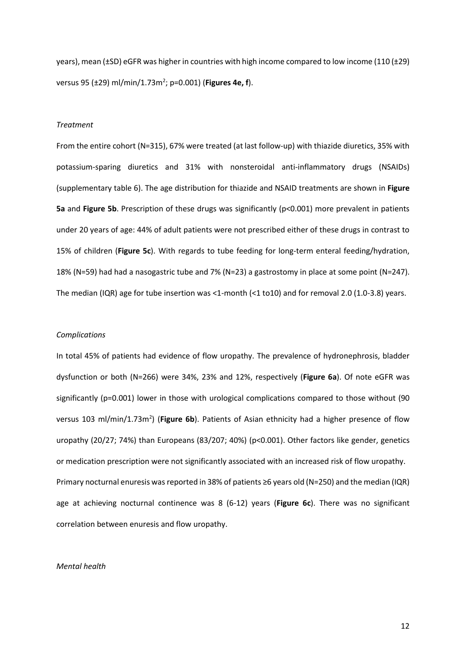years), mean (±SD) eGFR was higher in countries with high income compared to low income (110 (±29) versus 95 (±29) ml/min/1.73m<sup>2</sup> ; p=0.001) (**Figures 4e, f**).

### *Treatment*

From the entire cohort (N=315), 67% were treated (at last follow-up) with thiazide diuretics, 35% with potassium-sparing diuretics and 31% with nonsteroidal anti-inflammatory drugs (NSAIDs) (supplementary table 6). The age distribution for thiazide and NSAID treatments are shown in **Figure 5a** and **Figure 5b**. Prescription of these drugs was significantly (p<0.001) more prevalent in patients under 20 years of age: 44% of adult patients were not prescribed either of these drugs in contrast to 15% of children (**Figure 5c**). With regards to tube feeding for long-term enteral feeding/hydration, 18% (N=59) had had a nasogastric tube and 7% (N=23) a gastrostomy in place at some point (N=247). The median (IQR) age for tube insertion was <1-month (<1 to10) and for removal 2.0 (1.0-3.8) years.

#### *Complications*

In total 45% of patients had evidence of flow uropathy. The prevalence of hydronephrosis, bladder dysfunction or both (N=266) were 34%, 23% and 12%, respectively (**Figure 6a**). Of note eGFR was significantly (p=0.001) lower in those with urological complications compared to those without (90 versus 103 ml/min/1.73m<sup>2</sup>) (Figure 6b). Patients of Asian ethnicity had a higher presence of flow uropathy (20/27; 74%) than Europeans (83/207; 40%) (p<0.001). Other factors like gender, genetics or medication prescription were not significantly associated with an increased risk of flow uropathy. Primary nocturnal enuresis was reported in 38% of patients ≥6 years old (N=250) and the median (IQR) age at achieving nocturnal continence was 8 (6-12) years (**Figure 6c**). There was no significant correlation between enuresis and flow uropathy.

#### *Mental health*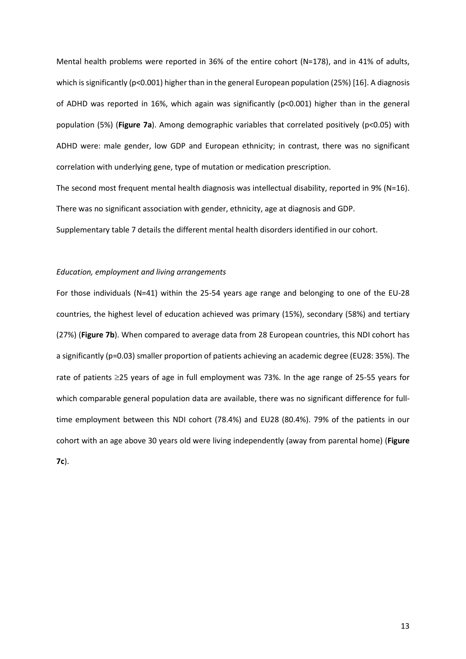Mental health problems were reported in 36% of the entire cohort (N=178), and in 41% of adults, which is significantly (p<0.001) higher than in the general European population (25%) [16]. A diagnosis of ADHD was reported in 16%, which again was significantly (p<0.001) higher than in the general population (5%) (**Figure 7a**). Among demographic variables that correlated positively (p<0.05) with ADHD were: male gender, low GDP and European ethnicity; in contrast, there was no significant correlation with underlying gene, type of mutation or medication prescription.

The second most frequent mental health diagnosis was intellectual disability, reported in 9% (N=16). There was no significant association with gender, ethnicity, age at diagnosis and GDP. Supplementary table 7 details the different mental health disorders identified in our cohort.

### *Education, employment and living arrangements*

For those individuals (N=41) within the 25-54 years age range and belonging to one of the EU-28 countries, the highest level of education achieved was primary (15%), secondary (58%) and tertiary (27%) (**Figure 7b**). When compared to average data from 28 European countries, this NDI cohort has a significantly (p=0.03) smaller proportion of patients achieving an academic degree (EU28: 35%). The rate of patients  $\geq$ 25 years of age in full employment was 73%. In the age range of 25-55 years for which comparable general population data are available, there was no significant difference for fulltime employment between this NDI cohort (78.4%) and EU28 (80.4%). 79% of the patients in our cohort with an age above 30 years old were living independently (away from parental home) (**Figure 7c**).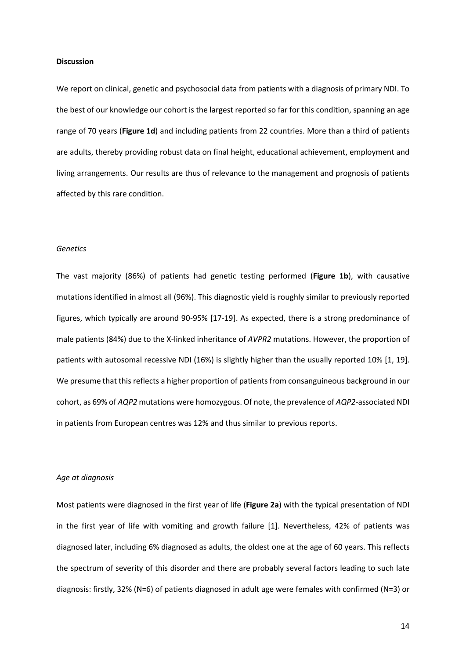### **Discussion**

We report on clinical, genetic and psychosocial data from patients with a diagnosis of primary NDI. To the best of our knowledge our cohort is the largest reported so far for this condition, spanning an age range of 70 years (**Figure 1d**) and including patients from 22 countries. More than a third of patients are adults, thereby providing robust data on final height, educational achievement, employment and living arrangements. Our results are thus of relevance to the management and prognosis of patients affected by this rare condition.

### *Genetics*

The vast majority (86%) of patients had genetic testing performed (**Figure 1b**), with causative mutations identified in almost all (96%). This diagnostic yield is roughly similar to previously reported figures, which typically are around 90-95% [17-19]. As expected, there is a strong predominance of male patients (84%) due to the X-linked inheritance of *AVPR2* mutations. However, the proportion of patients with autosomal recessive NDI (16%) is slightly higher than the usually reported 10% [1, 19]. We presume that this reflects a higher proportion of patients from consanguineous background in our cohort, as 69% of *AQP2* mutations were homozygous. Of note, the prevalence of *AQP2*-associated NDI in patients from European centres was 12% and thus similar to previous reports.

### *Age at diagnosis*

Most patients were diagnosed in the first year of life (**Figure 2a**) with the typical presentation of NDI in the first year of life with vomiting and growth failure [1]. Nevertheless, 42% of patients was diagnosed later, including 6% diagnosed as adults, the oldest one at the age of 60 years. This reflects the spectrum of severity of this disorder and there are probably several factors leading to such late diagnosis: firstly, 32% (N=6) of patients diagnosed in adult age were females with confirmed (N=3) or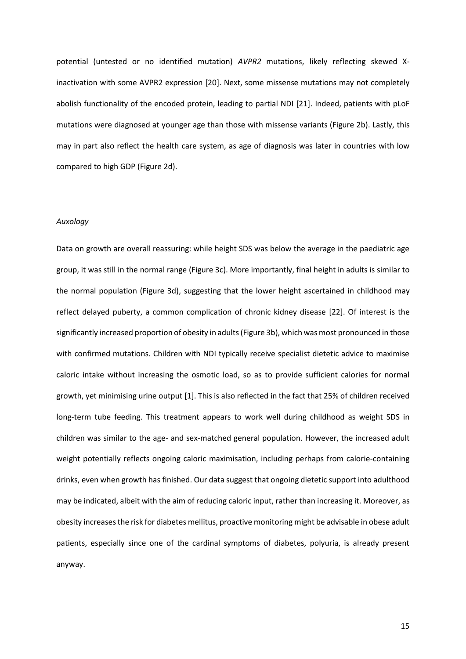potential (untested or no identified mutation) *AVPR2* mutations, likely reflecting skewed Xinactivation with some AVPR2 expression [20]. Next, some missense mutations may not completely abolish functionality of the encoded protein, leading to partial NDI [21]. Indeed, patients with pLoF mutations were diagnosed at younger age than those with missense variants (Figure 2b). Lastly, this may in part also reflect the health care system, as age of diagnosis was later in countries with low compared to high GDP (Figure 2d).

#### *Auxology*

Data on growth are overall reassuring: while height SDS was below the average in the paediatric age group, it was still in the normal range (Figure 3c). More importantly, final height in adults is similar to the normal population (Figure 3d), suggesting that the lower height ascertained in childhood may reflect delayed puberty, a common complication of chronic kidney disease [22]. Of interest is the significantly increased proportion of obesity in adults (Figure 3b), which was most pronounced in those with confirmed mutations. Children with NDI typically receive specialist dietetic advice to maximise caloric intake without increasing the osmotic load, so as to provide sufficient calories for normal growth, yet minimising urine output [1]. This is also reflected in the fact that 25% of children received long-term tube feeding. This treatment appears to work well during childhood as weight SDS in children was similar to the age- and sex-matched general population. However, the increased adult weight potentially reflects ongoing caloric maximisation, including perhaps from calorie-containing drinks, even when growth has finished. Our data suggest that ongoing dietetic support into adulthood may be indicated, albeit with the aim of reducing caloric input, rather than increasing it. Moreover, as obesity increases the risk for diabetes mellitus, proactive monitoring might be advisable in obese adult patients, especially since one of the cardinal symptoms of diabetes, polyuria, is already present anyway.

15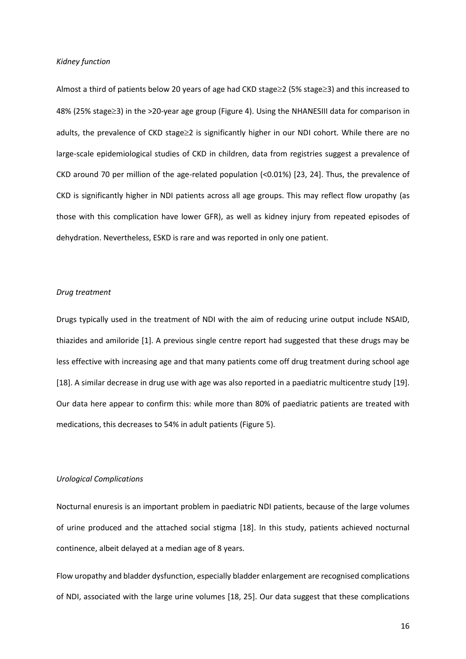### *Kidney function*

Almost a third of patients below 20 years of age had CKD stage $\geq$ 2 (5% stage $\geq$ 3) and this increased to 48% (25% stage≥3) in the >20-year age group (Figure 4). Using the NHANESIII data for comparison in adults, the prevalence of CKD stage 
2 is significantly higher in our NDI cohort. While there are no large-scale epidemiological studies of CKD in children, data from registries suggest a prevalence of CKD around 70 per million of the age-related population (<0.01%) [23, 24]. Thus, the prevalence of CKD is significantly higher in NDI patients across all age groups. This may reflect flow uropathy (as those with this complication have lower GFR), as well as kidney injury from repeated episodes of dehydration. Nevertheless, ESKD is rare and was reported in only one patient.

#### *Drug treatment*

Drugs typically used in the treatment of NDI with the aim of reducing urine output include NSAID, thiazides and amiloride [1]. A previous single centre report had suggested that these drugs may be less effective with increasing age and that many patients come off drug treatment during school age [18]. A similar decrease in drug use with age was also reported in a paediatric multicentre study [19]. Our data here appear to confirm this: while more than 80% of paediatric patients are treated with medications, this decreases to 54% in adult patients (Figure 5).

### *Urological Complications*

Nocturnal enuresis is an important problem in paediatric NDI patients, because of the large volumes of urine produced and the attached social stigma [18]. In this study, patients achieved nocturnal continence, albeit delayed at a median age of 8 years.

Flow uropathy and bladder dysfunction, especially bladder enlargement are recognised complications of NDI, associated with the large urine volumes [18, 25]. Our data suggest that these complications

16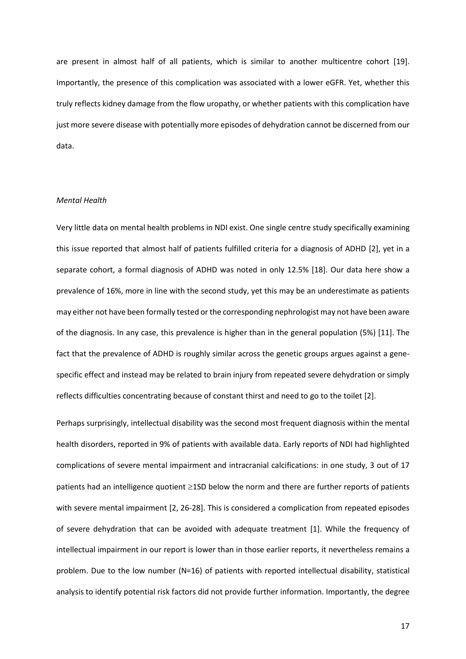are present in almost half of all patients, which is similar to another multicentre cohort [19]. Importantly, the presence of this complication was associated with a lower eGFR. Yet, whether this truly reflects kidney damage from the flow uropathy, or whether patients with this complication have just more severe disease with potentially more episodes of dehydration cannot be discerned from our data.

### *Mental Health*

Very little data on mental health problems in NDI exist. One single centre study specifically examining this issue reported that almost half of patients fulfilled criteria for a diagnosis of ADHD [2], yet in a separate cohort, a formal diagnosis of ADHD was noted in only 12.5% [18]. Our data here show a prevalence of 16%, more in line with the second study, yet this may be an underestimate as patients may either not have been formally tested or the corresponding nephrologist may not have been aware of the diagnosis. In any case, this prevalence is higher than in the general population (5%) [11]. The fact that the prevalence of ADHD is roughly similar across the genetic groups argues against a genespecific effect and instead may be related to brain injury from repeated severe dehydration or simply reflects difficulties concentrating because of constant thirst and need to go to the toilet [2].

Perhaps surprisingly, intellectual disability was the second most frequent diagnosis within the mental health disorders, reported in 9% of patients with available data. Early reports of NDI had highlighted complications of severe mental impairment and intracranial calcifications: in one study, 3 out of 17 patients had an intelligence quotient  $\geq$ 1SD below the norm and there are further reports of patients with severe mental impairment [2, 26-28]. This is considered a complication from repeated episodes of severe dehydration that can be avoided with adequate treatment [1]. While the frequency of intellectual impairment in our report is lower than in those earlier reports, it nevertheless remains a problem. Due to the low number (N=16) of patients with reported intellectual disability, statistical analysis to identify potential risk factors did not provide further information. Importantly, the degree

17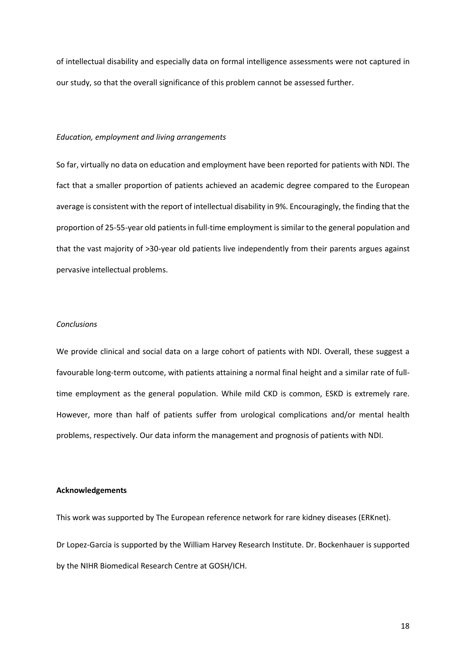of intellectual disability and especially data on formal intelligence assessments were not captured in our study, so that the overall significance of this problem cannot be assessed further.

#### *Education, employment and living arrangements*

So far, virtually no data on education and employment have been reported for patients with NDI. The fact that a smaller proportion of patients achieved an academic degree compared to the European average is consistent with the report of intellectual disability in 9%. Encouragingly, the finding that the proportion of 25-55-year old patients in full-time employment is similar to the general population and that the vast majority of >30-year old patients live independently from their parents argues against pervasive intellectual problems.

### *Conclusions*

We provide clinical and social data on a large cohort of patients with NDI. Overall, these suggest a favourable long-term outcome, with patients attaining a normal final height and a similar rate of fulltime employment as the general population. While mild CKD is common, ESKD is extremely rare. However, more than half of patients suffer from urological complications and/or mental health problems, respectively. Our data inform the management and prognosis of patients with NDI.

#### **Acknowledgements**

This work was supported by The European reference network for rare kidney diseases (ERKnet). Dr Lopez-Garcia is supported by the William Harvey Research Institute. Dr. Bockenhauer is supported by the NIHR Biomedical Research Centre at GOSH/ICH.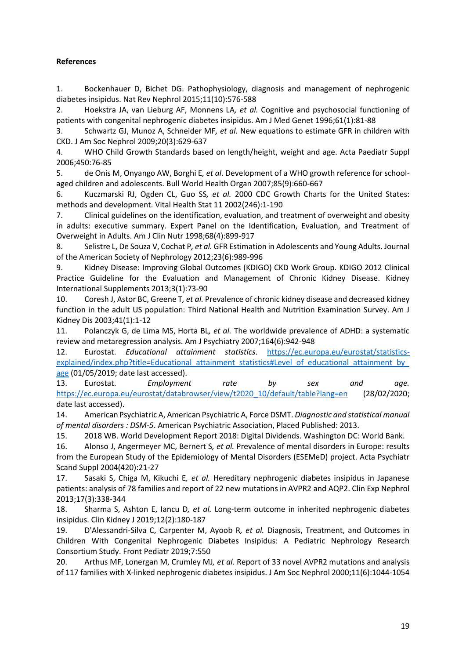# **References**

1. Bockenhauer D, Bichet DG. Pathophysiology, diagnosis and management of nephrogenic diabetes insipidus. Nat Rev Nephrol 2015;11(10):576-588

2. Hoekstra JA, van Lieburg AF, Monnens LA*, et al.* Cognitive and psychosocial functioning of patients with congenital nephrogenic diabetes insipidus. Am J Med Genet 1996;61(1):81-88

3. Schwartz GJ, Munoz A, Schneider MF*, et al.* New equations to estimate GFR in children with CKD. J Am Soc Nephrol 2009;20(3):629-637

4. WHO Child Growth Standards based on length/height, weight and age. Acta Paediatr Suppl 2006;450:76-85

5. de Onis M, Onyango AW, Borghi E*, et al.* Development of a WHO growth reference for schoolaged children and adolescents. Bull World Health Organ 2007;85(9):660-667

6. Kuczmarski RJ, Ogden CL, Guo SS*, et al.* 2000 CDC Growth Charts for the United States: methods and development. Vital Health Stat 11 2002(246):1-190

7. Clinical guidelines on the identification, evaluation, and treatment of overweight and obesity in adults: executive summary. Expert Panel on the Identification, Evaluation, and Treatment of Overweight in Adults. Am J Clin Nutr 1998;68(4):899-917

8. Selistre L, De Souza V, Cochat P*, et al.* GFR Estimation in Adolescents and Young Adults. Journal of the American Society of Nephrology 2012;23(6):989-996

9. Kidney Disease: Improving Global Outcomes (KDIGO) CKD Work Group. KDIGO 2012 Clinical Practice Guideline for the Evaluation and Management of Chronic Kidney Disease. Kidney International Supplements 2013;3(1):73-90

10. Coresh J, Astor BC, Greene T*, et al.* Prevalence of chronic kidney disease and decreased kidney function in the adult US population: Third National Health and Nutrition Examination Survey. Am J Kidney Dis 2003;41(1):1-12

11. Polanczyk G, de Lima MS, Horta BL*, et al.* The worldwide prevalence of ADHD: a systematic review and metaregression analysis. Am J Psychiatry 2007;164(6):942-948

12. Eurostat. *Educational attainment statistics*. [https://ec.europa.eu/eurostat/statistics](https://ec.europa.eu/eurostat/statistics-explained/index.php?title=Educational_attainment_statistics#Level_of_educational_attainment_by_age)explained/index.php?title=Educational\_attainment\_statistics#Level\_of\_educational\_attainment\_by [age](https://ec.europa.eu/eurostat/statistics-explained/index.php?title=Educational_attainment_statistics#Level_of_educational_attainment_by_age) (01/05/2019; date last accessed).

13. Eurostat. *Employment rate by sex and age.* [https://ec.europa.eu/eurostat/databrowser/view/t2020\\_10/default/table?lang=en](https://ec.europa.eu/eurostat/databrowser/view/t2020_10/default/table?lang=en) (28/02/2020; date last accessed).

14. American Psychiatric A, American Psychiatric A, Force DSMT. *Diagnostic and statistical manual of mental disorders : DSM-5*. American Psychiatric Association, Placed Published: 2013.

15. 2018 WB. World Development Report 2018: Digital Dividends. Washington DC: World Bank.

16. Alonso J, Angermeyer MC, Bernert S*, et al.* Prevalence of mental disorders in Europe: results from the European Study of the Epidemiology of Mental Disorders (ESEMeD) project. Acta Psychiatr Scand Suppl 2004(420):21-27

17. Sasaki S, Chiga M, Kikuchi E*, et al.* Hereditary nephrogenic diabetes insipidus in Japanese patients: analysis of 78 families and report of 22 new mutations in AVPR2 and AQP2. Clin Exp Nephrol 2013;17(3):338-344

18. Sharma S, Ashton E, Iancu D*, et al.* Long-term outcome in inherited nephrogenic diabetes insipidus. Clin Kidney J 2019;12(2):180-187

19. D'Alessandri-Silva C, Carpenter M, Ayoob R*, et al.* Diagnosis, Treatment, and Outcomes in Children With Congenital Nephrogenic Diabetes Insipidus: A Pediatric Nephrology Research Consortium Study. Front Pediatr 2019;7:550

20. Arthus MF, Lonergan M, Crumley MJ*, et al.* Report of 33 novel AVPR2 mutations and analysis of 117 families with X-linked nephrogenic diabetes insipidus. J Am Soc Nephrol 2000;11(6):1044-1054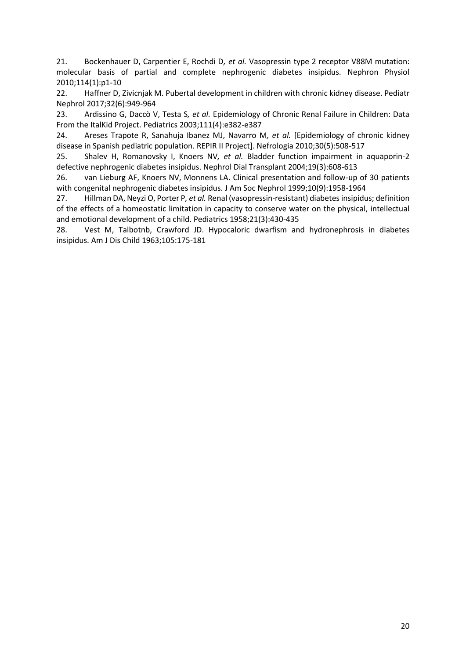21. Bockenhauer D, Carpentier E, Rochdi D*, et al.* Vasopressin type 2 receptor V88M mutation: molecular basis of partial and complete nephrogenic diabetes insipidus. Nephron Physiol 2010;114(1):p1-10

22. Haffner D, Zivicnjak M. Pubertal development in children with chronic kidney disease. Pediatr Nephrol 2017;32(6):949-964

23. Ardissino G, Daccò V, Testa S*, et al.* Epidemiology of Chronic Renal Failure in Children: Data From the ItalKid Project. Pediatrics 2003;111(4):e382-e387

24. Areses Trapote R, Sanahuja Ibanez MJ, Navarro M*, et al.* [Epidemiology of chronic kidney disease in Spanish pediatric population. REPIR II Project]. Nefrologia 2010;30(5):508-517

25. Shalev H, Romanovsky I, Knoers NV*, et al.* Bladder function impairment in aquaporin-2 defective nephrogenic diabetes insipidus. Nephrol Dial Transplant 2004;19(3):608-613

26. van Lieburg AF, Knoers NV, Monnens LA. Clinical presentation and follow-up of 30 patients with congenital nephrogenic diabetes insipidus. J Am Soc Nephrol 1999;10(9):1958-1964

27. Hillman DA, Neyzi O, Porter P*, et al.* Renal (vasopressin-resistant) diabetes insipidus; definition of the effects of a homeostatic limitation in capacity to conserve water on the physical, intellectual and emotional development of a child. Pediatrics 1958;21(3):430-435

28. Vest M, Talbotnb, Crawford JD. Hypocaloric dwarfism and hydronephrosis in diabetes insipidus. Am J Dis Child 1963;105:175-181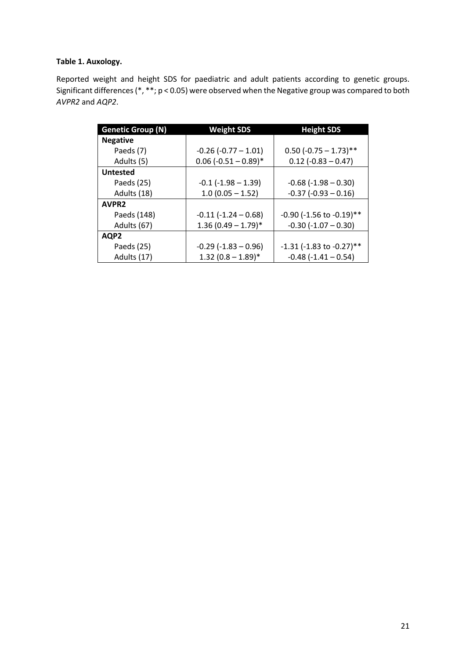# **Table 1. Auxology.**

Reported weight and height SDS for paediatric and adult patients according to genetic groups. Significant differences (\*, \*\*; p < 0.05) were observed when the Negative group was compared to both *AVPR2* and *AQP2*.

| <b>Genetic Group (N)</b> | <b>Weight SDS</b>          | <b>Height SDS</b>                |
|--------------------------|----------------------------|----------------------------------|
| <b>Negative</b>          |                            |                                  |
| Paeds (7)                | $-0.26$ ( $-0.77 - 1.01$ ) | $0.50$ (-0.75 - 1.73)**          |
| Adults (5)               | $0.06$ (-0.51 - 0.89)*     | $0.12$ (-0.83 - 0.47)            |
| <b>Untested</b>          |                            |                                  |
| Paeds (25)               | $-0.1$ ( $-1.98 - 1.39$ )  | $-0.68$ ( $-1.98 - 0.30$ )       |
| Adults (18)              | $1.0(0.05 - 1.52)$         | $-0.37$ ( $-0.93 - 0.16$ )       |
| AVPR <sub>2</sub>        |                            |                                  |
| Paeds (148)              | $-0.11$ $(-1.24 - 0.68)$   | $-0.90$ ( $-1.56$ to $-0.19$ )** |
| Adults (67)              | $1.36(0.49 - 1.79)^*$      | $-0.30$ $(-1.07 - 0.30)$         |
| AQP2                     |                            |                                  |
| Paeds (25)               | $-0.29$ ( $-1.83 - 0.96$ ) | $-1.31$ ( $-1.83$ to $-0.27$ )** |
| Adults (17)              | $1.32(0.8 - 1.89)^*$       | $-0.48$ ( $-1.41 - 0.54$ )       |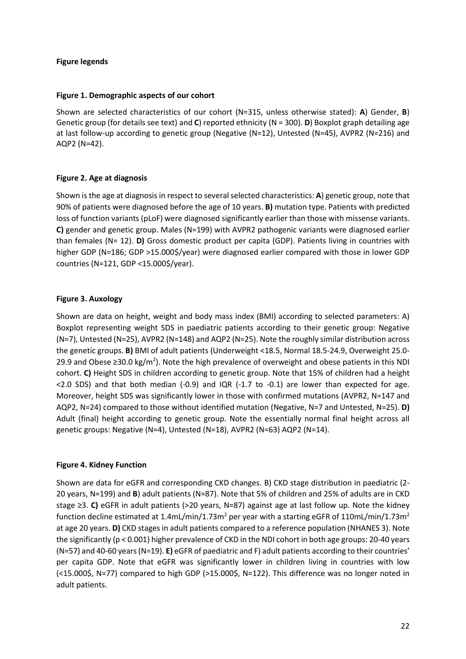## **Figure legends**

## **Figure 1. Demographic aspects of our cohort**

Shown are selected characteristics of our cohort (N=315, unless otherwise stated): **A**) Gender, **B**) Genetic group (for details see text) and **C**) reported ethnicity (N = 300). **D**) Boxplot graph detailing age at last follow-up according to genetic group (Negative (N=12), Untested (N=45), AVPR2 (N=216) and AQP2 (N=42).

# **Figure 2. Age at diagnosis**

Shown is the age at diagnosis in respect to several selected characteristics: **A**) genetic group, note that 90% of patients were diagnosed before the age of 10 years. **B)** mutation type. Patients with predicted loss of function variants (pLoF) were diagnosed significantly earlier than those with missense variants. **C)** gender and genetic group. Males (N=199) with AVPR2 pathogenic variants were diagnosed earlier than females (N= 12). **D)** Gross domestic product per capita (GDP). Patients living in countries with higher GDP (N=186; GDP >15.000\$/year) were diagnosed earlier compared with those in lower GDP countries (N=121, GDP <15.000\$/year).

# **Figure 3. Auxology**

Shown are data on height, weight and body mass index (BMI) according to selected parameters: A) Boxplot representing weight SDS in paediatric patients according to their genetic group: Negative (N=7), Untested (N=25), AVPR2 (N=148) and AQP2 (N=25). Note the roughly similar distribution across the genetic groups. **B)** BMI of adult patients (Underweight <18.5, Normal 18.5-24.9, Overweight 25.0- 29.9 and Obese ≥30.0 kg/m<sup>2</sup>). Note the high prevalence of overweight and obese patients in this NDI cohort. **C)** Height SDS in children according to genetic group. Note that 15% of children had a height  $\langle$  2.0 SDS) and that both median (-0.9) and IQR (-1.7 to -0.1) are lower than expected for age. Moreover, height SDS was significantly lower in those with confirmed mutations (AVPR2, N=147 and AQP2, N=24) compared to those without identified mutation (Negative, N=7 and Untested, N=25). **D)** Adult (final) height according to genetic group. Note the essentially normal final height across all genetic groups: Negative (N=4), Untested (N=18), AVPR2 (N=63) AQP2 (N=14).

# **Figure 4. Kidney Function**

Shown are data for eGFR and corresponding CKD changes. B) CKD stage distribution in paediatric (2- 20 years, N=199) and **B**) adult patients (N=87). Note that 5% of children and 25% of adults are in CKD stage ≥3. **C)** eGFR in adult patients (>20 years, N=87) against age at last follow up. Note the kidney function decline estimated at 1.4mL/min/1.73m<sup>2</sup> per year with a starting eGFR of 110mL/min/1.73m<sup>2</sup> at age 20 years. **D)** CKD stages in adult patients compared to a reference population (NHANES 3). Note the significantly (p < 0.001) higher prevalence of CKD in the NDI cohort in both age groups: 20-40 years (N=57) and 40-60 years (N=19). **E)** eGFR of paediatric and F) adult patients according to their countries' per capita GDP. Note that eGFR was significantly lower in children living in countries with low (<15.000\$, N=77) compared to high GDP (>15.000\$, N=122). This difference was no longer noted in adult patients.